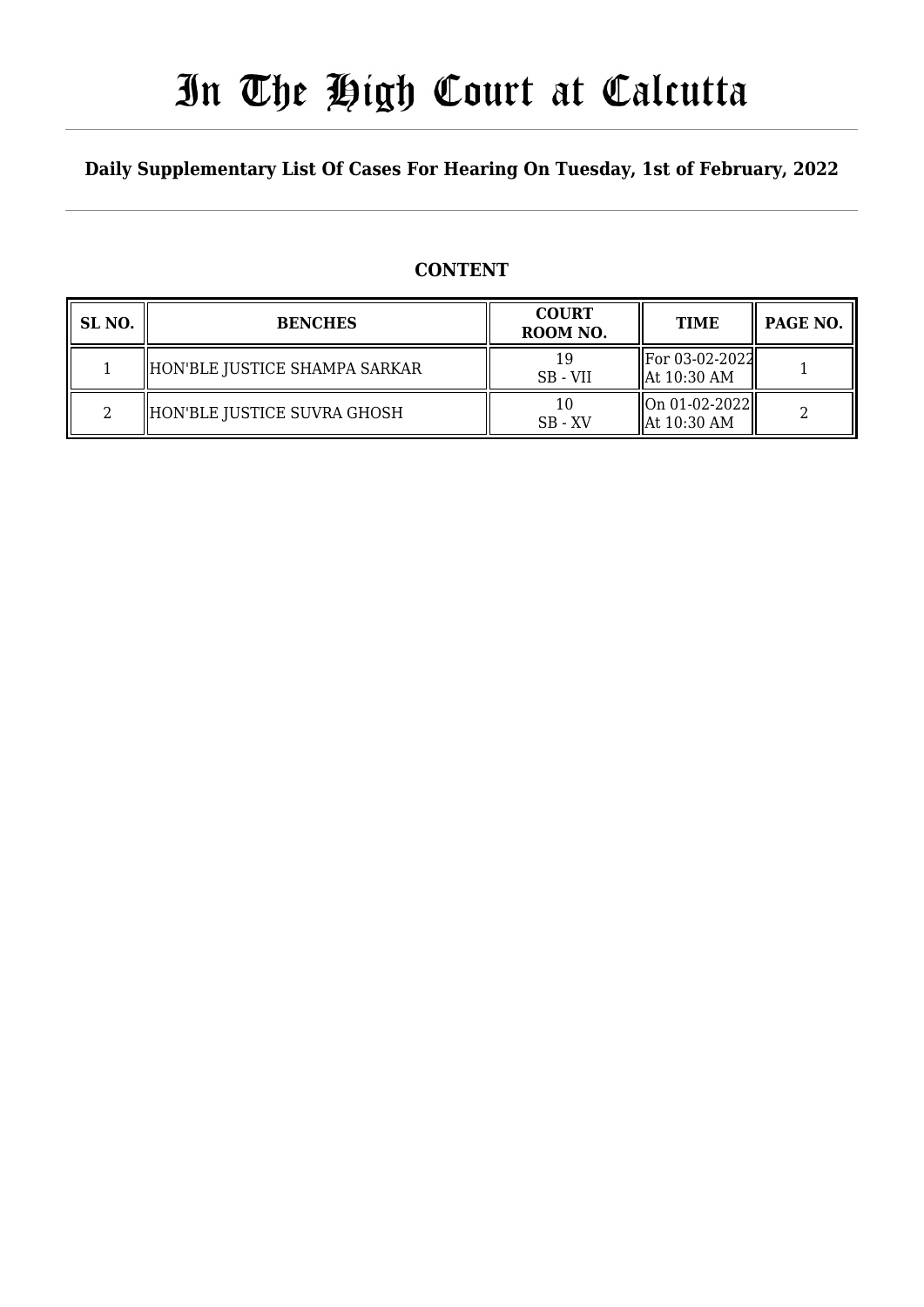# In The High Court at Calcutta

### **Daily Supplementary List Of Cases For Hearing On Tuesday, 1st of February, 2022**

### **CONTENT**

| SL <sub>NO</sub> . | <b>BENCHES</b>                | <b>COURT</b><br>ROOM NO. | <b>TIME</b>                               | PAGE NO. |
|--------------------|-------------------------------|--------------------------|-------------------------------------------|----------|
|                    | HON'BLE JUSTICE SHAMPA SARKAR | SB - VII                 | For 03-02-2022<br>$\parallel$ At 10:30 AM |          |
|                    | HON'BLE JUSTICE SUVRA GHOSH   | $SB - XV$                | $\ On\ 01-02-2022\ $<br>  At 10:30 AM     |          |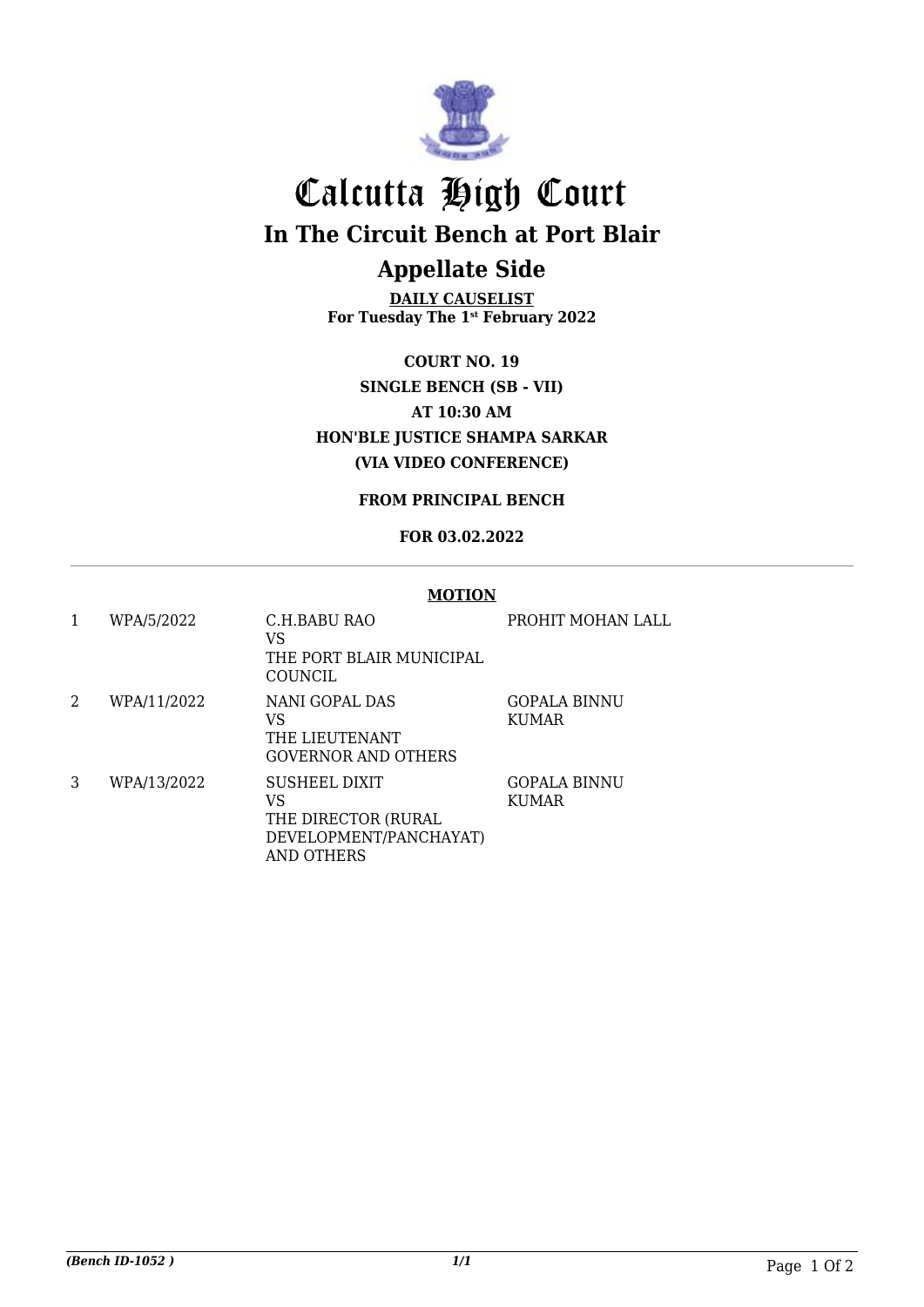

## Calcutta High Court

**In The Circuit Bench at Port Blair**

## **Appellate Side**

**DAILY CAUSELIST For Tuesday The 1st February 2022**

**COURT NO. 19 SINGLE BENCH (SB - VII) AT 10:30 AM HON'BLE JUSTICE SHAMPA SARKAR (VIA VIDEO CONFERENCE)**

**FROM PRINCIPAL BENCH**

#### **FOR 03.02.2022**

#### **MOTION**

| 1 | WPA/5/2022  | C.H.BABU RAO<br>VS<br>THE PORT BLAIR MUNICIPAL<br>COUNCIL                          | PROHIT MOHAN LALL            |
|---|-------------|------------------------------------------------------------------------------------|------------------------------|
| 2 | WPA/11/2022 | NANI GOPAL DAS<br>VS<br>THE LIEUTENANT<br><b>GOVERNOR AND OTHERS</b>               | GOPALA BINNU<br><b>KUMAR</b> |
| 3 | WPA/13/2022 | SUSHEEL DIXIT<br>VS<br>THE DIRECTOR (RURAL<br>DEVELOPMENT/PANCHAYAT)<br>AND OTHERS | GOPALA BINNU<br><b>KUMAR</b> |